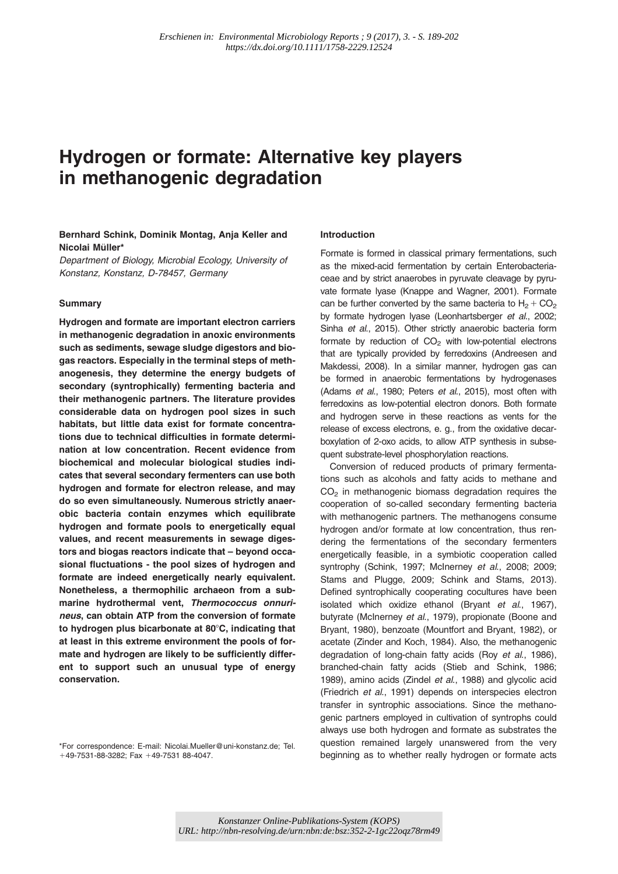# Hydrogen or formate: Alternative key players in methanogenic degradation

## Bernhard Schink, Dominik Montag, Anja Keller and Nicolai Müller\*

Department of Biology, Microbial Ecology, University of Konstanz, Konstanz, D-78457, Germany

## **Summary**

Hydrogen and formate are important electron carriers in methanogenic degradation in anoxic environments such as sediments, sewage sludge digestors and biogas reactors. Especially in the terminal steps of methanogenesis, they determine the energy budgets of secondary (syntrophically) fermenting bacteria and their methanogenic partners. The literature provides considerable data on hydrogen pool sizes in such habitats, but little data exist for formate concentrations due to technical difficulties in formate determination at low concentration. Recent evidence from biochemical and molecular biological studies indicates that several secondary fermenters can use both hydrogen and formate for electron release, and may do so even simultaneously. Numerous strictly anaerobic bacteria contain enzymes which equilibrate hydrogen and formate pools to energetically equal values, and recent measurements in sewage digestors and biogas reactors indicate that – beyond occasional fluctuations - the pool sizes of hydrogen and formate are indeed energetically nearly equivalent. Nonetheless, a thermophilic archaeon from a submarine hydrothermal vent, Thermococcus onnurineus, can obtain ATP from the conversion of formate to hydrogen plus bicarbonate at  $80^{\circ}$ C, indicating that at least in this extreme environment the pools of formate and hydrogen are likely to be sufficiently different to support such an unusual type of energy conservation.

#### Introduction

Formate is formed in classical primary fermentations, such as the mixed-acid fermentation by certain Enterobacteriaceae and by strict anaerobes in pyruvate cleavage by pyruvate formate lyase (Knappe and Wagner, 2001). Formate can be further converted by the same bacteria to  $H_2$  + CO<sub>2</sub> by formate hydrogen lyase (Leonhartsberger et al., 2002; Sinha et al., 2015). Other strictly anaerobic bacteria form formate by reduction of  $CO<sub>2</sub>$  with low-potential electrons that are typically provided by ferredoxins (Andreesen and Makdessi, 2008). In a similar manner, hydrogen gas can be formed in anaerobic fermentations by hydrogenases (Adams et al., 1980; Peters et al., 2015), most often with ferredoxins as low-potential electron donors. Both formate and hydrogen serve in these reactions as vents for the release of excess electrons, e. g., from the oxidative decarboxylation of 2-oxo acids, to allow ATP synthesis in subsequent substrate-level phosphorylation reactions.

Conversion of reduced products of primary fermentations such as alcohols and fatty acids to methane and  $CO<sub>2</sub>$  in methanogenic biomass degradation requires the cooperation of so-called secondary fermenting bacteria with methanogenic partners. The methanogens consume hydrogen and/or formate at low concentration, thus rendering the fermentations of the secondary fermenters energetically feasible, in a symbiotic cooperation called syntrophy (Schink, 1997; McInerney et al., 2008; 2009; Stams and Plugge, 2009; Schink and Stams, 2013). Defined syntrophically cooperating cocultures have been isolated which oxidize ethanol (Bryant et al., 1967), butyrate (McInerney et al., 1979), propionate (Boone and Bryant, 1980), benzoate (Mountfort and Bryant, 1982), or acetate (Zinder and Koch, 1984). Also, the methanogenic degradation of long-chain fatty acids (Roy et al., 1986), branched-chain fatty acids (Stieb and Schink, 1986; 1989), amino acids (Zindel et al., 1988) and glycolic acid (Friedrich et al., 1991) depends on interspecies electron transfer in syntrophic associations. Since the methanogenic partners employed in cultivation of syntrophs could always use both hydrogen and formate as substrates the question remained largely unanswered from the very beginning as to whether really hydrogen or formate acts

<sup>\*</sup>For correspondence: E-mail: Nicolai.Mueller@uni-konstanz.de; Tel.  $+49-7531-88-3282$ ; Fax  $+49-7531$  88-4047.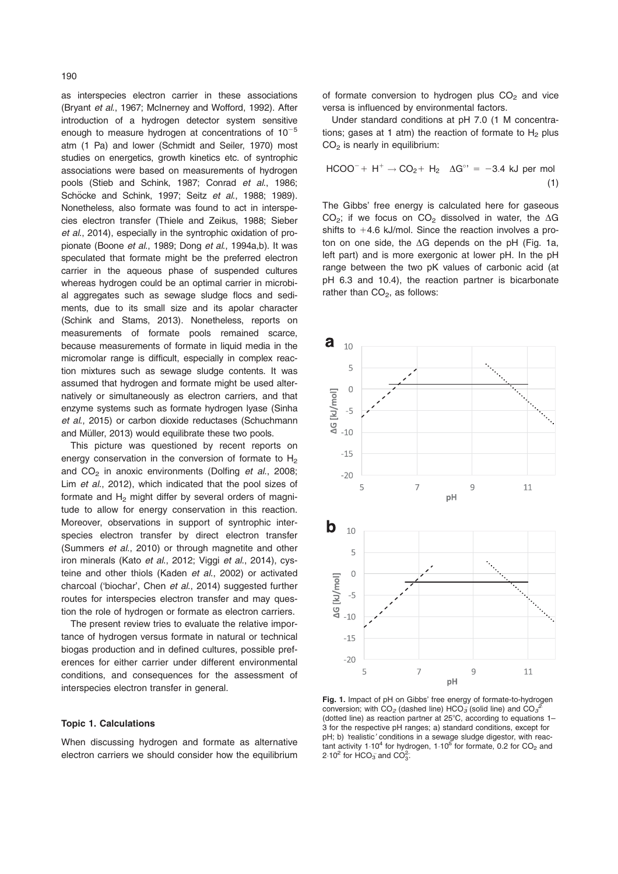as interspecies electron carrier in these associations (Bryant et al., 1967; McInerney and Wofford, 1992). After introduction of a hydrogen detector system sensitive enough to measure hydrogen at concentrations of  $10^{-5}$ atm (1 Pa) and lower (Schmidt and Seiler, 1970) most studies on energetics, growth kinetics etc. of syntrophic associations were based on measurements of hydrogen pools (Stieb and Schink, 1987; Conrad et al., 1986; Schöcke and Schink, 1997; Seitz et al., 1988; 1989). Nonetheless, also formate was found to act in interspecies electron transfer (Thiele and Zeikus, 1988; Sieber et al., 2014), especially in the syntrophic oxidation of propionate (Boone et al., 1989; Dong et al., 1994a,b). It was speculated that formate might be the preferred electron carrier in the aqueous phase of suspended cultures whereas hydrogen could be an optimal carrier in microbial aggregates such as sewage sludge flocs and sediments, due to its small size and its apolar character (Schink and Stams, 2013). Nonetheless, reports on measurements of formate pools remained scarce, because measurements of formate in liquid media in the micromolar range is difficult, especially in complex reaction mixtures such as sewage sludge contents. It was assumed that hydrogen and formate might be used alternatively or simultaneously as electron carriers, and that enzyme systems such as formate hydrogen lyase (Sinha et al., 2015) or carbon dioxide reductases (Schuchmann and Müller, 2013) would equilibrate these two pools.

This picture was questioned by recent reports on energy conservation in the conversion of formate to  $H_2$ and  $CO<sub>2</sub>$  in anoxic environments (Dolfing et al., 2008; Lim et al., 2012), which indicated that the pool sizes of formate and  $H_2$  might differ by several orders of magnitude to allow for energy conservation in this reaction. Moreover, observations in support of syntrophic interspecies electron transfer by direct electron transfer (Summers et al., 2010) or through magnetite and other iron minerals (Kato et al., 2012; Viggi et al., 2014), cysteine and other thiols (Kaden et al., 2002) or activated charcoal ('biochar', Chen et al., 2014) suggested further routes for interspecies electron transfer and may question the role of hydrogen or formate as electron carriers.

The present review tries to evaluate the relative importance of hydrogen versus formate in natural or technical biogas production and in defined cultures, possible preferences for either carrier under different environmental conditions, and consequences for the assessment of interspecies electron transfer in general.

## Topic 1. Calculations

When discussing hydrogen and formate as alternative electron carriers we should consider how the equilibrium of formate conversion to hydrogen plus  $CO<sub>2</sub>$  and vice versa is influenced by environmental factors.

Under standard conditions at pH 7.0 (1 M concentrations; gases at 1 atm) the reaction of formate to  $H_2$  plus  $CO<sub>2</sub>$  is nearly in equilibrium:

$$
HCOO^{-} + H^{+} \rightarrow CO_{2} + H_{2} \quad \Delta G^{\circ} = -3.4 \text{ kJ per mol}
$$
\n(1)

The Gibbs' free energy is calculated here for gaseous CO<sub>2</sub>; if we focus on CO<sub>2</sub> dissolved in water, the  $\Delta G$ shifts to  $+4.6$  kJ/mol. Since the reaction involves a proton on one side, the  $\Delta G$  depends on the pH (Fig. 1a, left part) and is more exergonic at lower pH. In the pH range between the two pK values of carbonic acid (at pH 6.3 and 10.4), the reaction partner is bicarbonate rather than  $CO<sub>2</sub>$ , as follows:



Fig. 1. Impact of pH on Gibbs' free energy of formate-to-hydrogen conversion; with CO<sub>2</sub> (dashed line) HCO<sub>3</sub> (solid line) and CO<sub>3</sub><sup>2</sup> (dotted line) as reaction partner at  $25^{\circ}$ C, according to equations 1-3 for the respective pH ranges; a) standard conditions, except for pH; b) 'realistic' conditions in a sewage sludge digestor, with reactant activity 1.10<sup>4</sup> for hydrogen, 1.10<sup>5</sup> for formate, 0.2 for CO<sub>2</sub> and 2.10<sup>2</sup> for HCO<sub>3</sub> and CO<sub>3</sub>.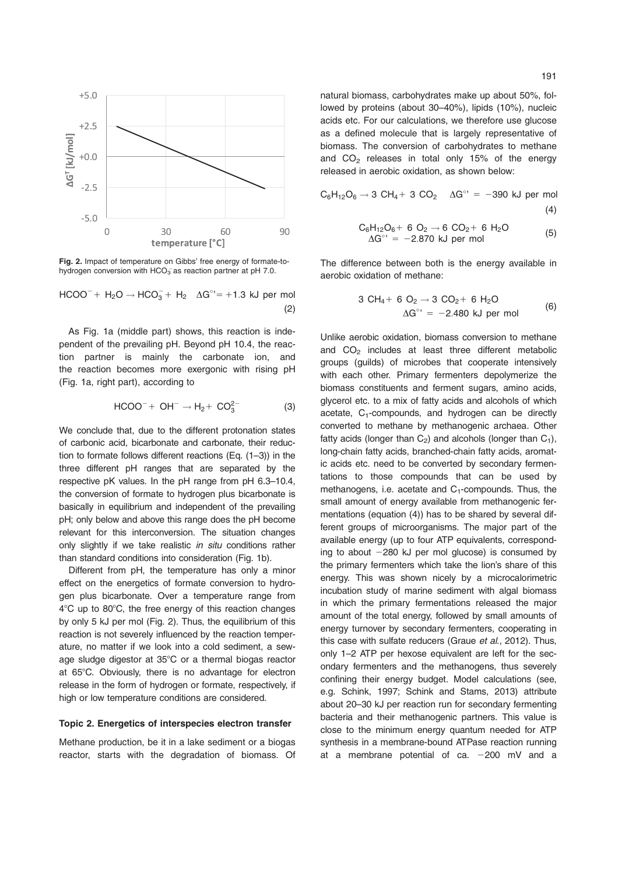

Fig. 2. Impact of temperature on Gibbs' free energy of formate-tohydrogen conversion with  $HCO_3^-$  as reaction partner at pH 7.0.

 $HCOO^{-}$  +  $H_2O \rightarrow HCO_3^{-}$  +  $H_2 \Delta G^{\circ}$  = +1.3 kJ per mol (2)

As Fig. 1a (middle part) shows, this reaction is independent of the prevailing pH. Beyond pH 10.4, the reaction partner is mainly the carbonate ion, and the reaction becomes more exergonic with rising pH (Fig. 1a, right part), according to

$$
HCOO^- + OH^- \rightarrow H_2 + CO_3^{2-}
$$
 (3)

We conclude that, due to the different protonation states of carbonic acid, bicarbonate and carbonate, their reduction to formate follows different reactions (Eq. (1–3)) in the three different pH ranges that are separated by the respective pK values. In the pH range from pH 6.3–10.4, the conversion of formate to hydrogen plus bicarbonate is basically in equilibrium and independent of the prevailing pH; only below and above this range does the pH become relevant for this interconversion. The situation changes only slightly if we take realistic in situ conditions rather than standard conditions into consideration (Fig. 1b).

Different from pH, the temperature has only a minor effect on the energetics of formate conversion to hydrogen plus bicarbonate. Over a temperature range from  $4^{\circ}$ C up to  $80^{\circ}$ C, the free energy of this reaction changes by only 5 kJ per mol (Fig. 2). Thus, the equilibrium of this reaction is not severely influenced by the reaction temperature, no matter if we look into a cold sediment, a sewage sludge digestor at 35°C or a thermal biogas reactor at 65°C. Obviously, there is no advantage for electron release in the form of hydrogen or formate, respectively, if high or low temperature conditions are considered.

## Topic 2. Energetics of interspecies electron transfer

Methane production, be it in a lake sediment or a biogas reactor, starts with the degradation of biomass. Of natural biomass, carbohydrates make up about 50%, followed by proteins (about 30–40%), lipids (10%), nucleic acids etc. For our calculations, we therefore use glucose as a defined molecule that is largely representative of biomass. The conversion of carbohydrates to methane and  $CO<sub>2</sub>$  releases in total only 15% of the energy released in aerobic oxidation, as shown below:

$$
C_6H_{12}O_6 \rightarrow 3 \text{ CH}_4 + 3 \text{ CO}_2 \quad \Delta G^{\circ} = -390 \text{ kJ per mol}
$$
\n(4)

$$
C_6H_{12}O_6 + 6 O_2 \rightarrow 6 CO_2 + 6 H_2O
$$
  
\n
$$
\Delta G^{\circ} = -2.870 \text{ kJ per mol}
$$
 (5)

The difference between both is the energy available in aerobic oxidation of methane:

$$
3 CH4 + 6 O2 \rightarrow 3 CO2 + 6 H2O
$$
  
\n
$$
\Delta G^{\circ} = -2.480 \text{ kJ per mol}
$$
 (6)

Unlike aerobic oxidation, biomass conversion to methane and CO<sub>2</sub> includes at least three different metabolic groups (guilds) of microbes that cooperate intensively with each other. Primary fermenters depolymerize the biomass constituents and ferment sugars, amino acids, glycerol etc. to a mix of fatty acids and alcohols of which acetate,  $C_1$ -compounds, and hydrogen can be directly converted to methane by methanogenic archaea. Other fatty acids (longer than  $C_2$ ) and alcohols (longer than  $C_1$ ), long-chain fatty acids, branched-chain fatty acids, aromatic acids etc. need to be converted by secondary fermentations to those compounds that can be used by methanogens, i.e. acetate and  $C_1$ -compounds. Thus, the small amount of energy available from methanogenic fermentations (equation (4)) has to be shared by several different groups of microorganisms. The major part of the available energy (up to four ATP equivalents, corresponding to about  $-280$  kJ per mol glucose) is consumed by the primary fermenters which take the lion's share of this energy. This was shown nicely by a microcalorimetric incubation study of marine sediment with algal biomass in which the primary fermentations released the major amount of the total energy, followed by small amounts of energy turnover by secondary fermenters, cooperating in this case with sulfate reducers (Graue et al., 2012). Thus, only 1–2 ATP per hexose equivalent are left for the secondary fermenters and the methanogens, thus severely confining their energy budget. Model calculations (see, e.g. Schink, 1997; Schink and Stams, 2013) attribute about 20–30 kJ per reaction run for secondary fermenting bacteria and their methanogenic partners. This value is close to the minimum energy quantum needed for ATP synthesis in a membrane-bound ATPase reaction running at a membrane potential of ca.  $-200$  mV and a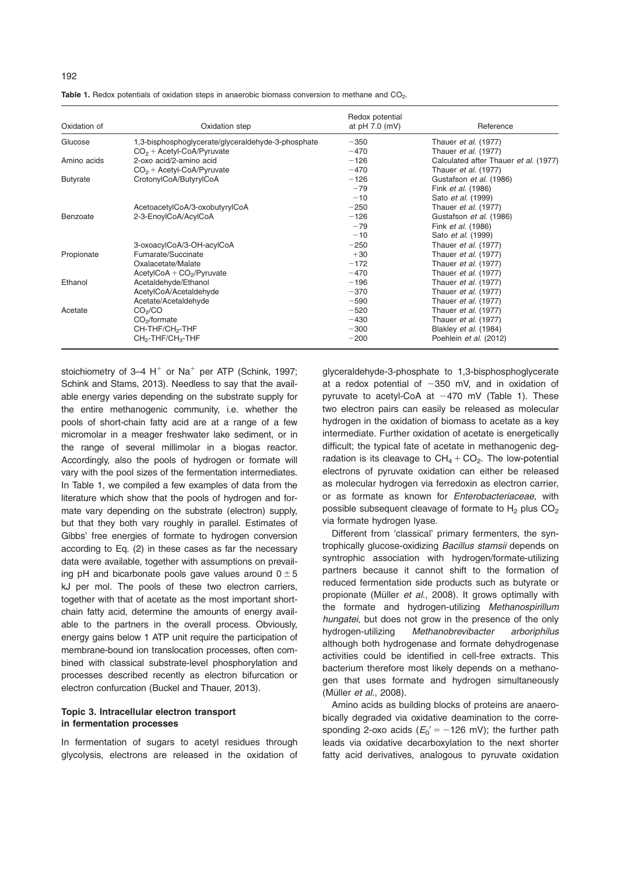|  | I<br>٧ | I |
|--|--------|---|
|--|--------|---|

Oxidation of Oxidation step Redox potential at pH 7.0 (mV) Reference Glucose 1,3-bisphosphoglycerate/glyceraldehyde-3-phosphate -350 Thauer et al. (1977)<br>CO<sub>2</sub> + Acetyl-CoA/Pyruvate -2-phosphate -470 Thauer et al. (1977)  $CO<sub>2</sub> + Acetyl-coA/Pyruvate$ <br>  $2$ -oxo acid/2-amino acid Amino acids 2-oxo acid/2-amino acid<br>
CO<sub>o</sub> + Acetyl-CoA/Pyruvate 
CO<sub>o</sub> + Acetyl-CoA/Pyruvate

Accore 
2000 - 
2000 - 
2000 - 
2000 - 
COos + Acetyl-CoA/Pyruvate

2000 - 
2000 - 
2000 - 
2000 - 
2000 - 
2000 - 
2000 - 
200  $CO<sub>2</sub> + Acetyl-CoAP$ yruvate  $CO<sub>2</sub> + Acetyl-CoAP$ yruvate  $CotonyCoAP$ utyru $CoA$ Butyrate CrotonylCoA/ButyrylCoA 2126 Gustafson et al. (1986)<br>-79  $-79$  Fink *et al.* (1986)<br> $-10$  Sato *et al.* (1999) -10 Sato *et al.* (1999)<br>-250 Thauer *et al.* (197 AcetoacetylCoA/3-oxobutyrylCoA 2250 -250 Thauer et al. (1977)<br>2-3-EnoylCoA/AcylCoA 225-EnoylCoA 225-EnoylCoA/AcylCoA Benzoate 2-3-EnoylCoA/AcylCoA 2126 Custom et al. (1986) -79 Fink *et al.* (1986)<br>-10 Sato *et al.* (1999) -10 Sato *et al.* (1999)<br>-250 Thauer *et al.* (1977) 3-oxoacylCoA/3-OH-acylCoA 2250 - 250 Thauer et al. (1977)<br>
Fumarate/Succinate 2250 - 230 Thauer et al. (1977) Propionate Fumarate/Succinate Oxalacetate/Malate 2172 Thauer et al. (1977) AcetylCoA + CO<sub>2</sub>/Pyruvate 2470 - 270 Thauer et al. (1977)<br>Acetaldehyde/Ethanol 277 - 2470 - 296 Thauer et al. (1977) Ethanol Chanol Acetaldehyde/Ethanol 2196 - 196 Thauer et al. (1977)<br>AcetylCoA/Acetaldehyde - 270 Thauer et al. (1977) AcetylCoA/Acetaldehyde 2370 Thauer et al. (1978)<br>Acetate/Acetaldehyde 2370 Thauer et al. (1978) Acetate/Acetaldehyde 2590 Thauer et al. (1977)<br>CO<sub>2</sub>/CO 2590 Thauer et al. (1977) Acetate CO<sub>2</sub>/CO 2520 Thauer et al. (1977)<br>CO<sub>2</sub>/formate CO<sub>2</sub>/formate CO<sub>2</sub>/formate CO<sub>2</sub>/formate 2520 Thauer et al. (1977)  $CO<sub>2</sub>/formate$ <br>CH-THF/CH<sub>2</sub>-THF<br>CH-THF/CH<sub>2</sub>-THF CH-THF/CH<sub>2</sub>-THF **CHA**<br>CH<sub>2</sub>-THF/CH<sub>3</sub>-THF **200** Blakley et al. (1984)<br>CH<sub>2</sub>-THF/CH<sub>3</sub>-THF Poehlein et al. (2012)

Table 1. Redox potentials of oxidation steps in anaerobic biomass conversion to methane and CO<sub>2</sub>.

stoichiometry of 3–4  $H^+$  or Na<sup>+</sup> per ATP (Schink, 1997; Schink and Stams, 2013). Needless to say that the available energy varies depending on the substrate supply for the entire methanogenic community, i.e. whether the pools of short-chain fatty acid are at a range of a few micromolar in a meager freshwater lake sediment, or in the range of several millimolar in a biogas reactor. Accordingly, also the pools of hydrogen or formate will vary with the pool sizes of the fermentation intermediates. In Table 1, we compiled a few examples of data from the literature which show that the pools of hydrogen and formate vary depending on the substrate (electron) supply, but that they both vary roughly in parallel. Estimates of Gibbs' free energies of formate to hydrogen conversion according to Eq. (2) in these cases as far the necessary data were available, together with assumptions on prevailing pH and bicarbonate pools gave values around  $0 \pm 5$ kJ per mol. The pools of these two electron carriers, together with that of acetate as the most important shortchain fatty acid, determine the amounts of energy available to the partners in the overall process. Obviously, energy gains below 1 ATP unit require the participation of membrane-bound ion translocation processes, often combined with classical substrate-level phosphorylation and processes described recently as electron bifurcation or electron confurcation (Buckel and Thauer, 2013).

## Topic 3. Intracellular electron transport in fermentation processes

In fermentation of sugars to acetyl residues through glycolysis, electrons are released in the oxidation of

glyceraldehyde-3-phosphate to 1,3-bisphosphoglycerate at a redox potential of  $-350$  mV, and in oxidation of pyruvate to acetyl-CoA at  $-470$  mV (Table 1). These two electron pairs can easily be released as molecular hydrogen in the oxidation of biomass to acetate as a key intermediate. Further oxidation of acetate is energetically difficult; the typical fate of acetate in methanogenic degradation is its cleavage to  $CH_4 + CO_2$ . The low-potential electrons of pyruvate oxidation can either be released as molecular hydrogen via ferredoxin as electron carrier, or as formate as known for Enterobacteriaceae, with possible subsequent cleavage of formate to  $H_2$  plus  $CO_2$ via formate hydrogen lyase.

Different from 'classical' primary fermenters, the syntrophically glucose-oxidizing Bacillus stamsii depends on syntrophic association with hydrogen/formate-utilizing partners because it cannot shift to the formation of reduced fermentation side products such as butyrate or propionate (Müller et al., 2008). It grows optimally with the formate and hydrogen-utilizing Methanospirillum hungatei, but does not grow in the presence of the only hydrogen-utilizing Methanobrevibacter arboriphilus although both hydrogenase and formate dehydrogenase activities could be identified in cell-free extracts. This bacterium therefore most likely depends on a methanogen that uses formate and hydrogen simultaneously (Müller et al., 2008).

Amino acids as building blocks of proteins are anaerobically degraded via oxidative deamination to the corresponding 2-oxo acids ( $E_0'$  =  $-126$  mV); the further path leads via oxidative decarboxylation to the next shorter fatty acid derivatives, analogous to pyruvate oxidation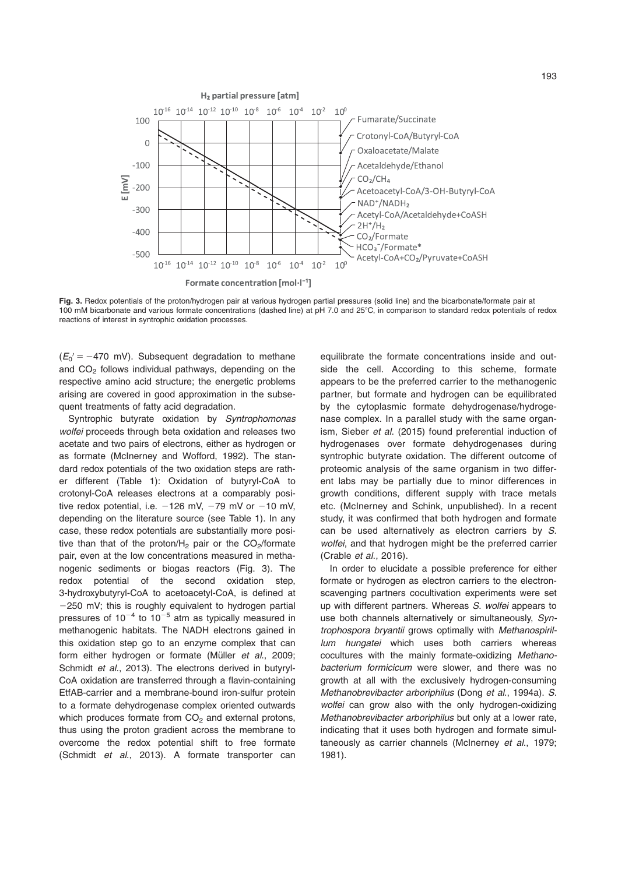

Fig. 3. Redox potentials of the proton/hydrogen pair at various hydrogen partial pressures (solid line) and the bicarbonate/formate pair at 100 mM bicarbonate and various formate concentrations (dashed line) at pH 7.0 and 25°C, in comparison to standard redox potentials of redox reactions of interest in syntrophic oxidation processes.

 $(E_0' = -470 \text{ mV})$ . Subsequent degradation to methane and  $CO<sub>2</sub>$  follows individual pathways, depending on the respective amino acid structure; the energetic problems arising are covered in good approximation in the subsequent treatments of fatty acid degradation.

Syntrophic butyrate oxidation by Syntrophomonas wolfei proceeds through beta oxidation and releases two acetate and two pairs of electrons, either as hydrogen or as formate (McInerney and Wofford, 1992). The standard redox potentials of the two oxidation steps are rather different (Table 1): Oxidation of butyryl-CoA to crotonyl-CoA releases electrons at a comparably positive redox potential, i.e.  $-126$  mV,  $-79$  mV or  $-10$  mV, depending on the literature source (see Table 1). In any case, these redox potentials are substantially more positive than that of the proton/ $H_2$  pair or the CO<sub>2</sub>/formate pair, even at the low concentrations measured in methanogenic sediments or biogas reactors (Fig. 3). The redox potential of the second oxidation step, 3-hydroxybutyryl-CoA to acetoacetyl-CoA, is defined at  $-250$  mV; this is roughly equivalent to hydrogen partial pressures of  $10^{-4}$  to  $10^{-5}$  atm as typically measured in methanogenic habitats. The NADH electrons gained in this oxidation step go to an enzyme complex that can form either hydrogen or formate (Müller et al., 2009; Schmidt *et al.*, 2013). The electrons derived in butyryl-CoA oxidation are transferred through a flavin-containing EtfAB-carrier and a membrane-bound iron-sulfur protein to a formate dehydrogenase complex oriented outwards which produces formate from  $CO<sub>2</sub>$  and external protons, thus using the proton gradient across the membrane to overcome the redox potential shift to free formate (Schmidt et al., 2013). A formate transporter can equilibrate the formate concentrations inside and outside the cell. According to this scheme, formate appears to be the preferred carrier to the methanogenic partner, but formate and hydrogen can be equilibrated by the cytoplasmic formate dehydrogenase/hydrogenase complex. In a parallel study with the same organism, Sieber et al. (2015) found preferential induction of hydrogenases over formate dehydrogenases during syntrophic butyrate oxidation. The different outcome of proteomic analysis of the same organism in two different labs may be partially due to minor differences in growth conditions, different supply with trace metals etc. (McInerney and Schink, unpublished). In a recent study, it was confirmed that both hydrogen and formate can be used alternatively as electron carriers by S. wolfei, and that hydrogen might be the preferred carrier (Crable et al., 2016).

In order to elucidate a possible preference for either formate or hydrogen as electron carriers to the electronscavenging partners cocultivation experiments were set up with different partners. Whereas S. wolfei appears to use both channels alternatively or simultaneously, Syntrophospora bryantii grows optimally with Methanospirillum hungatei which uses both carriers whereas cocultures with the mainly formate-oxidizing Methanobacterium formicicum were slower, and there was no growth at all with the exclusively hydrogen-consuming Methanobrevibacter arboriphilus (Dong et al., 1994a). S. wolfei can grow also with the only hydrogen-oxidizing Methanobrevibacter arboriphilus but only at a lower rate, indicating that it uses both hydrogen and formate simultaneously as carrier channels (McInerney et al., 1979; 1981).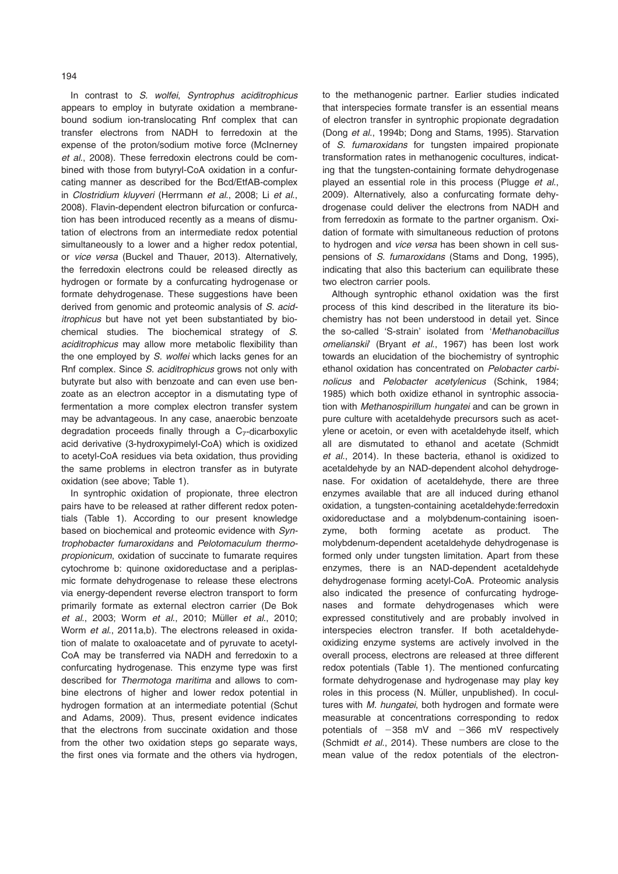In contrast to S. wolfei, Syntrophus aciditrophicus appears to employ in butyrate oxidation a membranebound sodium ion-translocating Rnf complex that can transfer electrons from NADH to ferredoxin at the expense of the proton/sodium motive force (McInerney et al., 2008). These ferredoxin electrons could be combined with those from butyryl-CoA oxidation in a confurcating manner as described for the Bcd/EtfAB-complex in Clostridium kluyveri (Herrmann et al., 2008; Li et al., 2008). Flavin-dependent electron bifurcation or confurcation has been introduced recently as a means of dismutation of electrons from an intermediate redox potential simultaneously to a lower and a higher redox potential, or vice versa (Buckel and Thauer, 2013). Alternatively, the ferredoxin electrons could be released directly as hydrogen or formate by a confurcating hydrogenase or formate dehydrogenase. These suggestions have been derived from genomic and proteomic analysis of S. aciditrophicus but have not yet been substantiated by biochemical studies. The biochemical strategy of S. aciditrophicus may allow more metabolic flexibility than the one employed by S. wolfei which lacks genes for an Rnf complex. Since S. aciditrophicus grows not only with butyrate but also with benzoate and can even use benzoate as an electron acceptor in a dismutating type of fermentation a more complex electron transfer system may be advantageous. In any case, anaerobic benzoate degradation proceeds finally through a  $C_7$ -dicarboxylic acid derivative (3-hydroxypimelyl-CoA) which is oxidized to acetyl-CoA residues via beta oxidation, thus providing the same problems in electron transfer as in butyrate oxidation (see above; Table 1).

In syntrophic oxidation of propionate, three electron pairs have to be released at rather different redox potentials (Table 1). According to our present knowledge based on biochemical and proteomic evidence with Syntrophobacter fumaroxidans and Pelotomaculum thermopropionicum, oxidation of succinate to fumarate requires cytochrome b: quinone oxidoreductase and a periplasmic formate dehydrogenase to release these electrons via energy-dependent reverse electron transport to form primarily formate as external electron carrier (De Bok et al., 2003; Worm et al., 2010; Müller et al., 2010; Worm et al., 2011a,b). The electrons released in oxidation of malate to oxaloacetate and of pyruvate to acetyl-CoA may be transferred via NADH and ferredoxin to a confurcating hydrogenase. This enzyme type was first described for Thermotoga maritima and allows to combine electrons of higher and lower redox potential in hydrogen formation at an intermediate potential (Schut and Adams, 2009). Thus, present evidence indicates that the electrons from succinate oxidation and those from the other two oxidation steps go separate ways, the first ones via formate and the others via hydrogen,

to the methanogenic partner. Earlier studies indicated that interspecies formate transfer is an essential means of electron transfer in syntrophic propionate degradation (Dong et al., 1994b; Dong and Stams, 1995). Starvation of S. fumaroxidans for tungsten impaired propionate transformation rates in methanogenic cocultures, indicating that the tungsten-containing formate dehydrogenase played an essential role in this process (Plugge et al., 2009). Alternatively, also a confurcating formate dehydrogenase could deliver the electrons from NADH and from ferredoxin as formate to the partner organism. Oxidation of formate with simultaneous reduction of protons to hydrogen and vice versa has been shown in cell suspensions of S. fumaroxidans (Stams and Dong, 1995), indicating that also this bacterium can equilibrate these two electron carrier pools.

Although syntrophic ethanol oxidation was the first process of this kind described in the literature its biochemistry has not been understood in detail yet. Since the so-called 'S-strain' isolated from 'Methanobacillus omelianskii<sup>'</sup> (Bryant et al., 1967) has been lost work towards an elucidation of the biochemistry of syntrophic ethanol oxidation has concentrated on Pelobacter carbinolicus and Pelobacter acetylenicus (Schink, 1984; 1985) which both oxidize ethanol in syntrophic association with Methanospirillum hungatei and can be grown in pure culture with acetaldehyde precursors such as acetylene or acetoin, or even with acetaldehyde itself, which all are dismutated to ethanol and acetate (Schmidt et al., 2014). In these bacteria, ethanol is oxidized to acetaldehyde by an NAD-dependent alcohol dehydrogenase. For oxidation of acetaldehyde, there are three enzymes available that are all induced during ethanol oxidation, a tungsten-containing acetaldehyde:ferredoxin oxidoreductase and a molybdenum-containing isoenzyme, both forming acetate as product. The molybdenum-dependent acetaldehyde dehydrogenase is formed only under tungsten limitation. Apart from these enzymes, there is an NAD-dependent acetaldehyde dehydrogenase forming acetyl-CoA. Proteomic analysis also indicated the presence of confurcating hydrogenases and formate dehydrogenases which were expressed constitutively and are probably involved in interspecies electron transfer. If both acetaldehydeoxidizing enzyme systems are actively involved in the overall process, electrons are released at three different redox potentials (Table 1). The mentioned confurcating formate dehydrogenase and hydrogenase may play key roles in this process (N. Müller, unpublished). In cocultures with M. hungatei, both hydrogen and formate were measurable at concentrations corresponding to redox potentials of  $-358$  mV and  $-366$  mV respectively (Schmidt et al., 2014). These numbers are close to the mean value of the redox potentials of the electron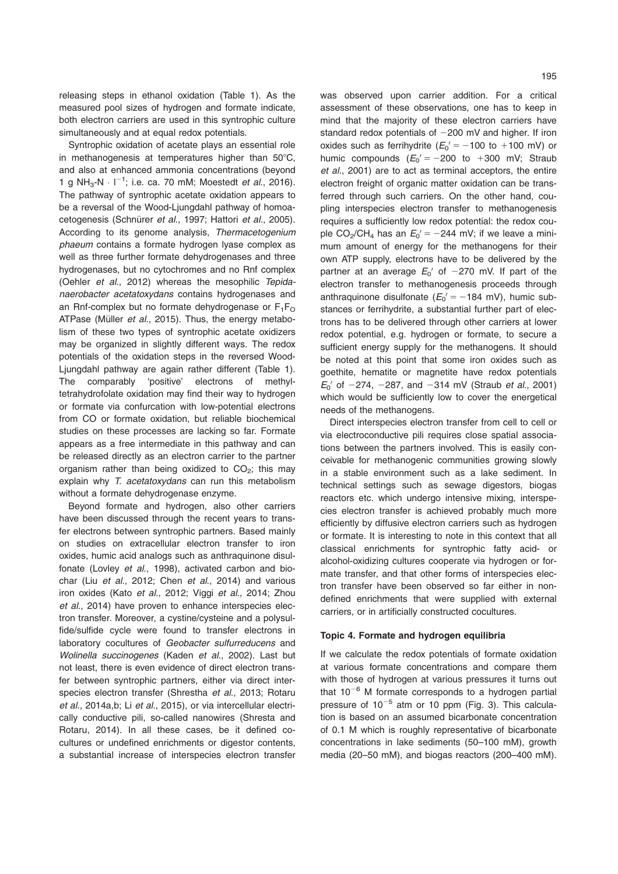releasing steps in ethanol oxidation (Table 1). As the measured pool sizes of hydrogen and formate indicate, both electron carriers are used in this syntrophic culture simultaneously and at equal redox potentials.

Syntrophic oxidation of acetate plays an essential role in methanogenesis at temperatures higher than  $50^{\circ}$ C, and also at enhanced ammonia concentrations (beyond 1 g NH<sub>3</sub>-N  $\cdot$  l<sup>-1</sup>; i.e. ca. 70 mM; Moestedt *et al.*, 2016). The pathway of syntrophic acetate oxidation appears to be a reversal of the Wood-Ljungdahl pathway of homoacetogenesis (Schnürer et al., 1997; Hattori et al., 2005). According to its genome analysis, Thermacetogenium phaeum contains a formate hydrogen lyase complex as well as three further formate dehydrogenases and three hydrogenases, but no cytochromes and no Rnf complex (Oehler et al., 2012) whereas the mesophilic Tepidanaerobacter acetatoxydans contains hydrogenases and an Rnf-complex but no formate dehydrogenase or  $F_1F_O$ ATPase (Müller et al., 2015). Thus, the energy metabolism of these two types of syntrophic acetate oxidizers may be organized in slightly different ways. The redox potentials of the oxidation steps in the reversed Wood-Ljungdahl pathway are again rather different (Table 1). The comparably 'positive' electrons of methyltetrahydrofolate oxidation may find their way to hydrogen or formate via confurcation with low-potential electrons from CO or formate oxidation, but reliable biochemical studies on these processes are lacking so far. Formate appears as a free intermediate in this pathway and can be released directly as an electron carrier to the partner organism rather than being oxidized to  $CO<sub>2</sub>$ ; this may explain why T. acetatoxydans can run this metabolism without a formate dehydrogenase enzyme.

Beyond formate and hydrogen, also other carriers have been discussed through the recent years to transfer electrons between syntrophic partners. Based mainly on studies on extracellular electron transfer to iron oxides, humic acid analogs such as anthraquinone disulfonate (Lovley et al., 1998), activated carbon and biochar (Liu et al., 2012; Chen et al., 2014) and various iron oxides (Kato et al., 2012; Viggi et al., 2014; Zhou et al., 2014) have proven to enhance interspecies electron transfer. Moreover, a cystine/cysteine and a polysulfide/sulfide cycle were found to transfer electrons in laboratory cocultures of Geobacter sulfurreducens and Wolinella succinogenes (Kaden et al., 2002). Last but not least, there is even evidence of direct electron transfer between syntrophic partners, either via direct interspecies electron transfer (Shrestha et al., 2013; Rotaru et al., 2014a, b; Li et al., 2015), or via intercellular electrically conductive pili, so-called nanowires (Shresta and Rotaru, 2014). In all these cases, be it defined cocultures or undefined enrichments or digestor contents, a substantial increase of interspecies electron transfer

was observed upon carrier addition. For a critical assessment of these observations, one has to keep in mind that the majority of these electron carriers have standard redox potentials of  $-200$  mV and higher. If iron oxides such as ferrihydrite ( $E_0' = -100$  to +100 mV) or humic compounds  $(E_0' = -200$  to  $+300$  mV; Straub et al., 2001) are to act as terminal acceptors, the entire electron freight of organic matter oxidation can be transferred through such carriers. On the other hand, coupling interspecies electron transfer to methanogenesis requires a sufficiently low redox potential: the redox couple CO<sub>2</sub>/CH<sub>4</sub> has an  $E_0' = -244$  mV; if we leave a minimum amount of energy for the methanogens for their own ATP supply, electrons have to be delivered by the partner at an average  $E_0'$  of  $-270$  mV. If part of the electron transfer to methanogenesis proceeds through anthraquinone disulfonate ( $E_0' = -184$  mV), humic substances or ferrihydrite, a substantial further part of electrons has to be delivered through other carriers at lower redox potential, e.g. hydrogen or formate, to secure a sufficient energy supply for the methanogens. It should be noted at this point that some iron oxides such as goethite, hematite or magnetite have redox potentials  $E_0'$  of  $-274$ ,  $-287$ , and  $-314$  mV (Straub *et al.*, 2001) which would be sufficiently low to cover the energetical needs of the methanogens.

Direct interspecies electron transfer from cell to cell or via electroconductive pili requires close spatial associations between the partners involved. This is easily conceivable for methanogenic communities growing slowly in a stable environment such as a lake sediment. In technical settings such as sewage digestors, biogas reactors etc. which undergo intensive mixing, interspecies electron transfer is achieved probably much more efficiently by diffusive electron carriers such as hydrogen or formate. It is interesting to note in this context that all classical enrichments for syntrophic fatty acid- or alcohol-oxidizing cultures cooperate via hydrogen or formate transfer, and that other forms of interspecies electron transfer have been observed so far either in nondefined enrichments that were supplied with external carriers, or in artificially constructed cocultures.

#### Topic 4. Formate and hydrogen equilibria

If we calculate the redox potentials of formate oxidation at various formate concentrations and compare them with those of hydrogen at various pressures it turns out that  $10^{-6}$  M formate corresponds to a hydrogen partial pressure of  $10^{-5}$  atm or 10 ppm (Fig. 3). This calculation is based on an assumed bicarbonate concentration of 0.1 M which is roughly representative of bicarbonate concentrations in lake sediments (50–100 mM), growth media (20–50 mM), and biogas reactors (200–400 mM).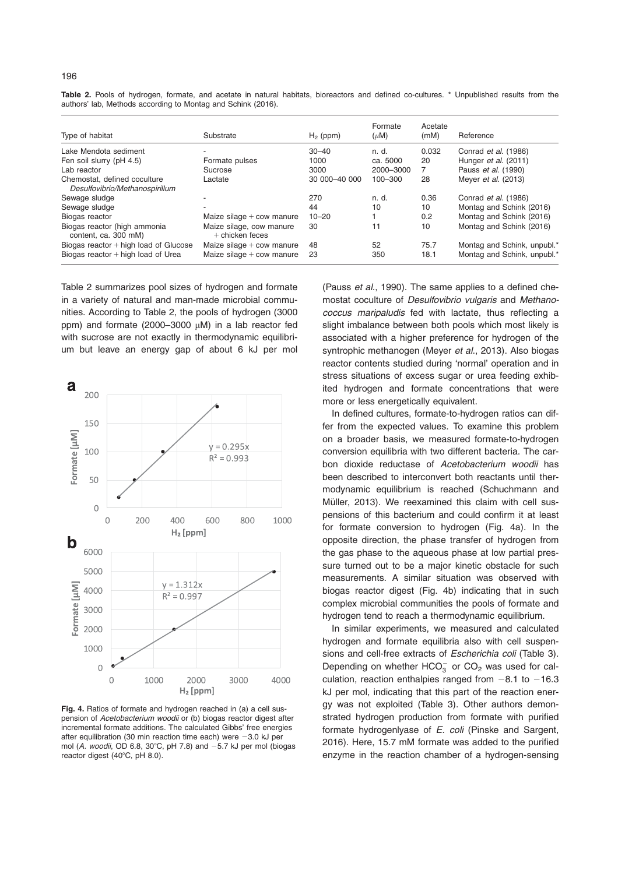| Type of habitat                                                | Substrate                                     | $H_2$ (ppm)   | Formate<br>$(\mu M)$ | Acetate<br>(mM) | Reference                   |
|----------------------------------------------------------------|-----------------------------------------------|---------------|----------------------|-----------------|-----------------------------|
| Lake Mendota sediment                                          |                                               | $30 - 40$     | n. d.                | 0.032           | Conrad et al. (1986)        |
| Fen soil slurry (pH 4.5)                                       | Formate pulses                                | 1000          | ca. 5000             | 20              | Hunger et al. (2011)        |
| Lab reactor                                                    | Sucrose                                       | 3000          | 2000-3000            | 7               | Pauss et al. (1990)         |
| Chemostat, defined coculture<br>Desulfovibrio/Methanospirillum | Lactate                                       | 30 000-40 000 | $100 - 300$          | 28              | Meyer <i>et al.</i> (2013)  |
| Sewage sludge                                                  |                                               | 270           | n. d.                | 0.36            | Conrad et al. (1986)        |
| Sewage sludge                                                  |                                               | 44            | 10                   | 10              | Montag and Schink (2016)    |
| Biogas reactor                                                 | Maize silage $+$ cow manure                   | $10 - 20$     |                      | 0.2             | Montag and Schink (2016)    |
| Biogas reactor (high ammonia<br>content, ca. 300 mM)           | Maize silage, cow manure<br>$+$ chicken feces | 30            | 11                   | 10              | Montag and Schink (2016)    |
| Biogas reactor + high load of Glucose                          | Maize silage $+$ cow manure                   | 48            | 52                   | 75.7            | Montag and Schink, unpubl.* |
| Biogas reactor $+$ high load of Urea                           | Maize silage $+$ cow manure                   | 23            | 350                  | 18.1            | Montag and Schink, unpubl.* |

Table 2. Pools of hydrogen, formate, and acetate in natural habitats, bioreactors and defined co-cultures. \* Unpublished results from the

Table 2 summarizes pool sizes of hydrogen and formate in a variety of natural and man-made microbial communities. According to Table 2, the pools of hydrogen (3000 ppm) and formate (2000–3000  $\mu$ M) in a lab reactor fed with sucrose are not exactly in thermodynamic equilibri-

um but leave an energy gap of about 6 kJ per mol

authors' lab, Methods according to Montag and Schink (2016).



Fig. 4. Ratios of formate and hydrogen reached in (a) a cell suspension of Acetobacterium woodii or (b) biogas reactor digest after incremental formate additions. The calculated Gibbs' free energies after equilibration (30 min reaction time each) were  $-3.0$  kJ per mol (A. woodii, OD 6.8, 30°C, pH 7.8) and  $-5.7$  kJ per mol (biogas reactor digest  $(40^{\circ}$ C, pH 8.0).

(Pauss et al., 1990). The same applies to a defined chemostat coculture of Desulfovibrio vulgaris and Methanococcus maripaludis fed with lactate, thus reflecting a slight imbalance between both pools which most likely is associated with a higher preference for hydrogen of the syntrophic methanogen (Meyer et al., 2013). Also biogas reactor contents studied during 'normal' operation and in stress situations of excess sugar or urea feeding exhibited hydrogen and formate concentrations that were more or less energetically equivalent.

In defined cultures, formate-to-hydrogen ratios can differ from the expected values. To examine this problem on a broader basis, we measured formate-to-hydrogen conversion equilibria with two different bacteria. The carbon dioxide reductase of Acetobacterium woodii has been described to interconvert both reactants until thermodynamic equilibrium is reached (Schuchmann and Müller, 2013). We reexamined this claim with cell suspensions of this bacterium and could confirm it at least for formate conversion to hydrogen (Fig. 4a). In the opposite direction, the phase transfer of hydrogen from the gas phase to the aqueous phase at low partial pressure turned out to be a major kinetic obstacle for such measurements. A similar situation was observed with biogas reactor digest (Fig. 4b) indicating that in such complex microbial communities the pools of formate and hydrogen tend to reach a thermodynamic equilibrium.

In similar experiments, we measured and calculated hydrogen and formate equilibria also with cell suspensions and cell-free extracts of Escherichia coli (Table 3). Depending on whether  $HCO_3^-$  or  $CO_2$  was used for calculation, reaction enthalpies ranged from  $-8.1$  to  $-16.3$ kJ per mol, indicating that this part of the reaction energy was not exploited (Table 3). Other authors demonstrated hydrogen production from formate with purified formate hydrogenlyase of E. coli (Pinske and Sargent, 2016). Here, 15.7 mM formate was added to the purified enzyme in the reaction chamber of a hydrogen-sensing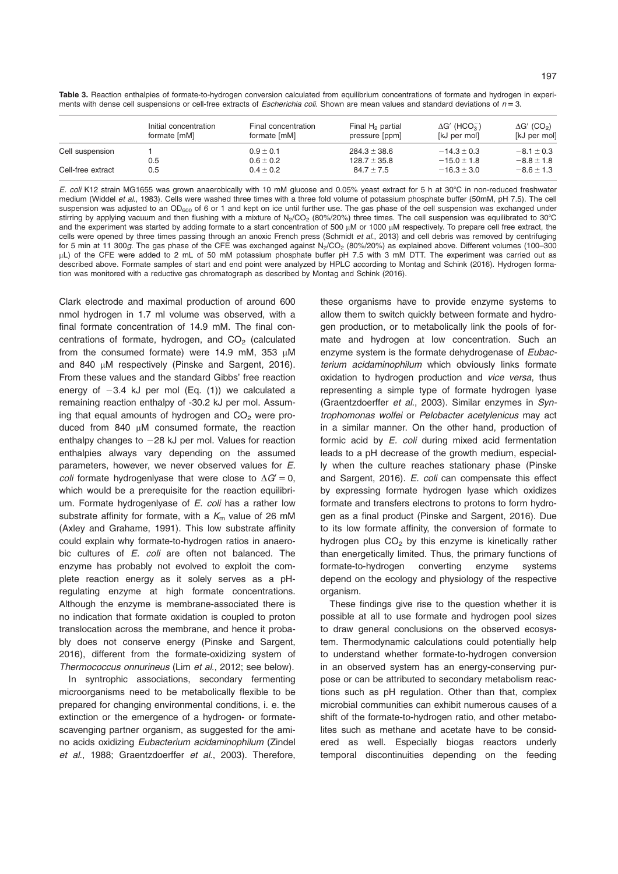Table 3. Reaction enthalpies of formate-to-hydrogen conversion calculated from equilibrium concentrations of formate and hydrogen in experiments with dense cell suspensions or cell-free extracts of Escherichia coli. Shown are mean values and standard deviations of  $n = 3$ .

|                   | Initial concentration<br>formate [mM] | Final concentration<br>formate [mM] | Final $H_2$ partial<br>pressure [ppm] | $\Delta G'$ (HCO <sub>3</sub> )<br>[kJ per mol] | $\Delta G'$ (CO <sub>2</sub> )<br>[kJ per mol] |
|-------------------|---------------------------------------|-------------------------------------|---------------------------------------|-------------------------------------------------|------------------------------------------------|
| Cell suspension   |                                       | $0.9 \pm 0.1$                       | $284.3 \pm 38.6$                      | $-14.3 \pm 0.3$                                 | $-8.1 \pm 0.3$                                 |
|                   | 0.5                                   | $0.6 \pm 0.2$                       | $128.7 \pm 35.8$                      | $-15.0 \pm 1.8$                                 | $-8.8 \pm 1.8$                                 |
| Cell-free extract | 0.5                                   | $0.4 \pm 0.2$                       | $84.7 \pm 7.5$                        | $-16.3 \pm 3.0$                                 | $-8.6 \pm 1.3$                                 |

E. coli K12 strain MG1655 was grown anaerobically with 10 mM glucose and 0.05% yeast extract for 5 h at 30°C in non-reduced freshwater medium (Widdel et al., 1983). Cells were washed three times with a three fold volume of potassium phosphate buffer (50mM, pH 7.5). The cell suspension was adjusted to an OD<sub>600</sub> of 6 or 1 and kept on ice until further use. The gas phase of the cell suspension was exchanged under stirring by applying vacuum and then flushing with a mixture of  $N_2/CO_2$  (80%/20%) three times. The cell suspension was equilibrated to 30°C and the experiment was started by adding formate to a start concentration of 500 µM or 1000 µM respectively. To prepare cell free extract, the cells were opened by three times passing through an anoxic French press (Schmidt et al., 2013) and cell debris was removed by centrifuging for 5 min at 11 300g. The gas phase of the CFE was exchanged against N<sub>2</sub>/CO<sub>2</sub> (80%/20%) as explained above. Different volumes (100–300 µL) of the CFE were added to 2 mL of 50 mM potassium phosphate buffer pH 7.5 with 3 mM DTT. The experiment was carried out as described above. Formate samples of start and end point were analyzed by HPLC according to Montag and Schink (2016). Hydrogen formation was monitored with a reductive gas chromatograph as described by Montag and Schink (2016).

Clark electrode and maximal production of around 600 nmol hydrogen in 1.7 ml volume was observed, with a final formate concentration of 14.9 mM. The final concentrations of formate, hydrogen, and  $CO<sub>2</sub>$  (calculated from the consumed formate) were 14.9 mM, 353  $\mu$ M and 840 µM respectively (Pinske and Sargent, 2016). From these values and the standard Gibbs' free reaction energy of  $-3.4$  kJ per mol (Eq. (1)) we calculated a remaining reaction enthalpy of -30.2 kJ per mol. Assuming that equal amounts of hydrogen and  $CO<sub>2</sub>$  were produced from 840  $\mu$ M consumed formate, the reaction enthalpy changes to  $-28$  kJ per mol. Values for reaction enthalpies always vary depending on the assumed parameters, however, we never observed values for E. coli formate hydrogenlyase that were close to  $\Delta G = 0$ , which would be a prerequisite for the reaction equilibrium. Formate hydrogenlyase of E. coli has a rather low substrate affinity for formate, with a  $K<sub>m</sub>$  value of 26 mM (Axley and Grahame, 1991). This low substrate affinity could explain why formate-to-hydrogen ratios in anaerobic cultures of E. coli are often not balanced. The enzyme has probably not evolved to exploit the complete reaction energy as it solely serves as a pHregulating enzyme at high formate concentrations. Although the enzyme is membrane-associated there is no indication that formate oxidation is coupled to proton translocation across the membrane, and hence it probably does not conserve energy (Pinske and Sargent, 2016), different from the formate-oxidizing system of Thermococcus onnurineus (Lim et al., 2012; see below).

In syntrophic associations, secondary fermenting microorganisms need to be metabolically flexible to be prepared for changing environmental conditions, i. e. the extinction or the emergence of a hydrogen- or formatescavenging partner organism, as suggested for the amino acids oxidizing Eubacterium acidaminophilum (Zindel et al., 1988; Graentzdoerffer et al., 2003). Therefore,

these organisms have to provide enzyme systems to allow them to switch quickly between formate and hydrogen production, or to metabolically link the pools of formate and hydrogen at low concentration. Such an enzyme system is the formate dehydrogenase of Eubacterium acidaminophilum which obviously links formate oxidation to hydrogen production and vice versa, thus representing a simple type of formate hydrogen lyase (Graentzdoerffer et al., 2003). Similar enzymes in Syntrophomonas wolfei or Pelobacter acetylenicus may act in a similar manner. On the other hand, production of formic acid by E. coli during mixed acid fermentation leads to a pH decrease of the growth medium, especially when the culture reaches stationary phase (Pinske and Sargent, 2016). E. coli can compensate this effect by expressing formate hydrogen lyase which oxidizes formate and transfers electrons to protons to form hydrogen as a final product (Pinske and Sargent, 2016). Due to its low formate affinity, the conversion of formate to hydrogen plus  $CO<sub>2</sub>$  by this enzyme is kinetically rather than energetically limited. Thus, the primary functions of formate-to-hydrogen converting enzyme systems depend on the ecology and physiology of the respective organism.

These findings give rise to the question whether it is possible at all to use formate and hydrogen pool sizes to draw general conclusions on the observed ecosystem. Thermodynamic calculations could potentially help to understand whether formate-to-hydrogen conversion in an observed system has an energy-conserving purpose or can be attributed to secondary metabolism reactions such as pH regulation. Other than that, complex microbial communities can exhibit numerous causes of a shift of the formate-to-hydrogen ratio, and other metabolites such as methane and acetate have to be considered as well. Especially biogas reactors underly temporal discontinuities depending on the feeding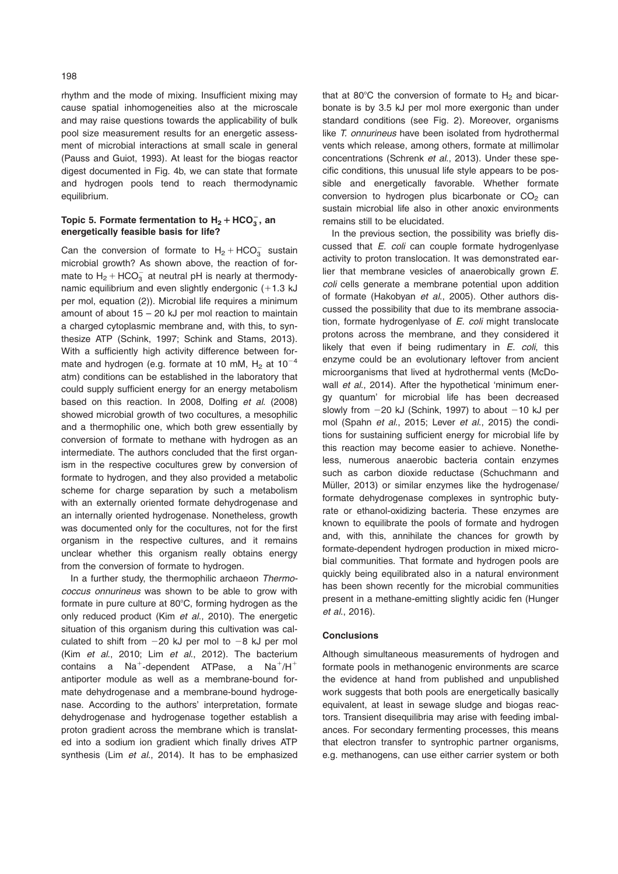rhythm and the mode of mixing. Insufficient mixing may cause spatial inhomogeneities also at the microscale and may raise questions towards the applicability of bulk pool size measurement results for an energetic assessment of microbial interactions at small scale in general (Pauss and Guiot, 1993). At least for the biogas reactor digest documented in Fig. 4b, we can state that formate and hydrogen pools tend to reach thermodynamic equilibrium.

# Topic 5. Formate fermentation to  $H_2 + \text{HCO}_3^-$ , an energetically feasible basis for life?

Can the conversion of formate to  $H_2 + HCO_3^-$  sustain microbial growth? As shown above, the reaction of formate to  $H_2 + HCO_3^-$  at neutral pH is nearly at thermodynamic equilibrium and even slightly endergonic  $(+1.3 \text{ kJ})$ per mol, equation (2)). Microbial life requires a minimum amount of about  $15 - 20$  kJ per mol reaction to maintain a charged cytoplasmic membrane and, with this, to synthesize ATP (Schink, 1997; Schink and Stams, 2013). With a sufficiently high activity difference between formate and hydrogen (e.g. formate at 10 mM,  $H_2$  at 10<sup>-4</sup> atm) conditions can be established in the laboratory that could supply sufficient energy for an energy metabolism based on this reaction. In 2008, Dolfing et al. (2008) showed microbial growth of two cocultures, a mesophilic and a thermophilic one, which both grew essentially by conversion of formate to methane with hydrogen as an intermediate. The authors concluded that the first organism in the respective cocultures grew by conversion of formate to hydrogen, and they also provided a metabolic scheme for charge separation by such a metabolism with an externally oriented formate dehydrogenase and an internally oriented hydrogenase. Nonetheless, growth was documented only for the cocultures, not for the first organism in the respective cultures, and it remains unclear whether this organism really obtains energy from the conversion of formate to hydrogen.

In a further study, the thermophilic archaeon Thermococcus onnurineus was shown to be able to grow with formate in pure culture at  $80^{\circ}$ C, forming hydrogen as the only reduced product (Kim et al., 2010). The energetic situation of this organism during this cultivation was calculated to shift from  $-20$  kJ per mol to  $-8$  kJ per mol (Kim et al., 2010; Lim et al., 2012). The bacterium contains a Na<sup>+</sup>-dependent ATPase, a Na<sup>+</sup>/H<sup>+</sup> antiporter module as well as a membrane-bound formate dehydrogenase and a membrane-bound hydrogenase. According to the authors' interpretation, formate dehydrogenase and hydrogenase together establish a proton gradient across the membrane which is translated into a sodium ion gradient which finally drives ATP synthesis (Lim et al., 2014). It has to be emphasized

that at 80°C the conversion of formate to  $H_2$  and bicarbonate is by 3.5 kJ per mol more exergonic than under standard conditions (see Fig. 2). Moreover, organisms like T. onnurineus have been isolated from hydrothermal vents which release, among others, formate at millimolar concentrations (Schrenk et al., 2013). Under these specific conditions, this unusual life style appears to be possible and energetically favorable. Whether formate conversion to hydrogen plus bicarbonate or  $CO<sub>2</sub>$  can sustain microbial life also in other anoxic environments remains still to be elucidated.

In the previous section, the possibility was briefly discussed that E. coli can couple formate hydrogenlyase activity to proton translocation. It was demonstrated earlier that membrane vesicles of anaerobically grown E. coli cells generate a membrane potential upon addition of formate (Hakobyan et al., 2005). Other authors discussed the possibility that due to its membrane association, formate hydrogenlyase of E. coli might translocate protons across the membrane, and they considered it likely that even if being rudimentary in  $E$ . coli, this enzyme could be an evolutionary leftover from ancient microorganisms that lived at hydrothermal vents (McDowall et al., 2014). After the hypothetical 'minimum energy quantum' for microbial life has been decreased slowly from  $-20$  kJ (Schink, 1997) to about  $-10$  kJ per mol (Spahn et al., 2015; Lever et al., 2015) the conditions for sustaining sufficient energy for microbial life by this reaction may become easier to achieve. Nonetheless, numerous anaerobic bacteria contain enzymes such as carbon dioxide reductase (Schuchmann and Müller, 2013) or similar enzymes like the hydrogenase/ formate dehydrogenase complexes in syntrophic butyrate or ethanol-oxidizing bacteria. These enzymes are known to equilibrate the pools of formate and hydrogen and, with this, annihilate the chances for growth by formate-dependent hydrogen production in mixed microbial communities. That formate and hydrogen pools are quickly being equilibrated also in a natural environment has been shown recently for the microbial communities present in a methane-emitting slightly acidic fen (Hunger et al., 2016).

#### **Conclusions**

Although simultaneous measurements of hydrogen and formate pools in methanogenic environments are scarce the evidence at hand from published and unpublished work suggests that both pools are energetically basically equivalent, at least in sewage sludge and biogas reactors. Transient disequilibria may arise with feeding imbalances. For secondary fermenting processes, this means that electron transfer to syntrophic partner organisms, e.g. methanogens, can use either carrier system or both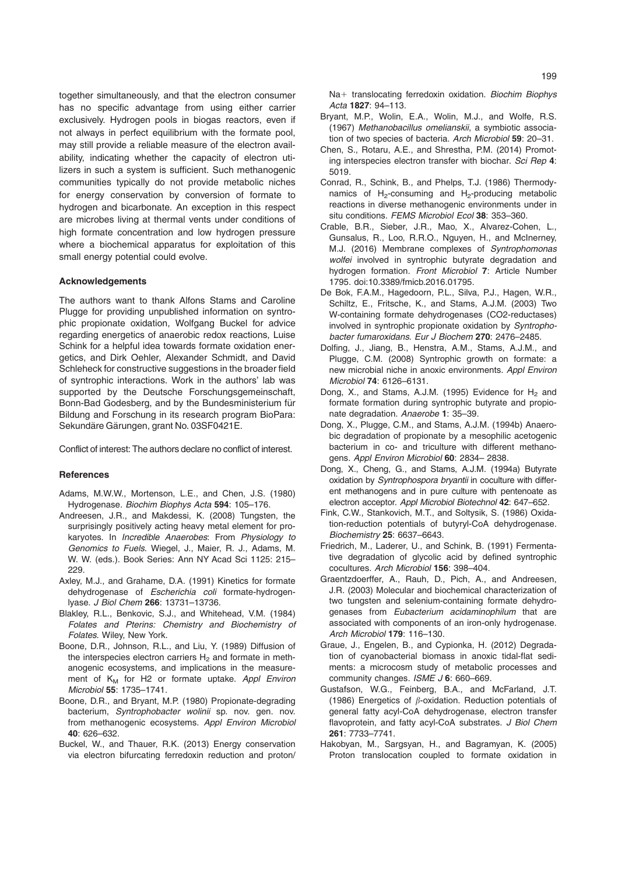together simultaneously, and that the electron consumer has no specific advantage from using either carrier exclusively. Hydrogen pools in biogas reactors, even if not always in perfect equilibrium with the formate pool, may still provide a reliable measure of the electron availability, indicating whether the capacity of electron utilizers in such a system is sufficient. Such methanogenic communities typically do not provide metabolic niches for energy conservation by conversion of formate to hydrogen and bicarbonate. An exception in this respect are microbes living at thermal vents under conditions of high formate concentration and low hydrogen pressure where a biochemical apparatus for exploitation of this small energy potential could evolve.

#### Acknowledgements

The authors want to thank Alfons Stams and Caroline Plugge for providing unpublished information on syntrophic propionate oxidation, Wolfgang Buckel for advice regarding energetics of anaerobic redox reactions, Luise Schink for a helpful idea towards formate oxidation energetics, and Dirk Oehler, Alexander Schmidt, and David Schleheck for constructive suggestions in the broader field of syntrophic interactions. Work in the authors' lab was supported by the Deutsche Forschungsgemeinschaft, Bonn-Bad Godesberg, and by the Bundesministerium für Bildung and Forschung in its research program BioPara: Sekundäre Gärungen, grant No. 03SF0421E.

Conflict of interest: The authors declare no conflict of interest.

### References

- Adams, M.W.W., Mortenson, L.E., and Chen, J.S. (1980) Hydrogenase. Biochim Biophys Acta 594: 105–176.
- Andreesen, J.R., and Makdessi, K. (2008) Tungsten, the surprisingly positively acting heavy metal element for prokaryotes. In Incredible Anaerobes: From Physiology to Genomics to Fuels. Wiegel, J., Maier, R. J., Adams, M. W. W. (eds.). Book Series: Ann NY Acad Sci 1125: 215– 229.
- Axley, M.J., and Grahame, D.A. (1991) Kinetics for formate dehydrogenase of Escherichia coli formate-hydrogenlyase. J Biol Chem 266: 13731–13736.
- Blakley, R.L., Benkovic, S.J., and Whitehead, V.M. (1984) Folates and Pterins: Chemistry and Biochemistry of Folates. Wiley, New York.
- Boone, D.R., Johnson, R.L., and Liu, Y. (1989) Diffusion of the interspecies electron carriers  $H_2$  and formate in methanogenic ecosystems, and implications in the measurement of  $K_M$  for H2 or formate uptake. Appl Environ Microbiol 55: 1735–1741.
- Boone, D.R., and Bryant, M.P. (1980) Propionate-degrading bacterium, Syntrophobacter wolinii sp. nov. gen. nov. from methanogenic ecosystems. Appl Environ Microbiol 40: 626–632.
- Buckel, W., and Thauer, R.K. (2013) Energy conservation via electron bifurcating ferredoxin reduction and proton/

Na+ translocating ferredoxin oxidation. Biochim Biophys Acta 1827: 94–113.

- Bryant, M.P., Wolin, E.A., Wolin, M.J., and Wolfe, R.S. (1967) Methanobacillus omelianskii, a symbiotic association of two species of bacteria. Arch Microbiol 59: 20–31.
- Chen, S., Rotaru, A.E., and Shrestha, P.M. (2014) Promoting interspecies electron transfer with biochar. Sci Rep 4: 5019.
- Conrad, R., Schink, B., and Phelps, T.J. (1986) Thermodynamics of  $H_2$ -consuming and  $H_2$ -producing metabolic reactions in diverse methanogenic environments under in situ conditions. FEMS Microbiol Ecol 38: 353-360.
- Crable, B.R., Sieber, J.R., Mao, X., Alvarez-Cohen, L., Gunsalus, R., Loo, R.R.O., Nguyen, H., and McInerney, M.J. (2016) Membrane complexes of Syntrophomonas wolfei involved in syntrophic butyrate degradation and hydrogen formation. Front Microbiol 7: Article Number 1795. doi:10.3389/fmicb.2016.01795.
- De Bok, F.A.M., Hagedoorn, P.L., Silva, P.J., Hagen, W.R., Schiltz, E., Fritsche, K., and Stams, A.J.M. (2003) Two W-containing formate dehydrogenases (CO2-reductases) involved in syntrophic propionate oxidation by Syntrophobacter fumaroxidans. Eur J Biochem 270: 2476–2485.
- Dolfing, J., Jiang, B., Henstra, A.M., Stams, A.J.M., and Plugge, C.M. (2008) Syntrophic growth on formate: a new microbial niche in anoxic environments. Appl Environ Microbiol 74: 6126–6131.
- Dong, X., and Stams, A.J.M. (1995) Evidence for  $H_2$  and formate formation during syntrophic butyrate and propionate degradation. Anaerobe 1: 35-39.
- Dong, X., Plugge, C.M., and Stams, A.J.M. (1994b) Anaerobic degradation of propionate by a mesophilic acetogenic bacterium in co- and triculture with different methanogens. Appl Environ Microbiol 60: 2834-2838.
- Dong, X., Cheng, G., and Stams, A.J.M. (1994a) Butyrate oxidation by Syntrophospora bryantii in coculture with different methanogens and in pure culture with pentenoate as electron acceptor. Appl Microbiol Biotechnol 42: 647–652.
- Fink, C.W., Stankovich, M.T., and Soltysik, S. (1986) Oxidation-reduction potentials of butyryl-CoA dehydrogenase. Biochemistry 25: 6637–6643.
- Friedrich, M., Laderer, U., and Schink, B. (1991) Fermentative degradation of glycolic acid by defined syntrophic cocultures. Arch Microbiol 156: 398–404.
- Graentzdoerffer, A., Rauh, D., Pich, A., and Andreesen, J.R. (2003) Molecular and biochemical characterization of two tungsten and selenium-containing formate dehydrogenases from Eubacterium acidaminophilum that are associated with components of an iron-only hydrogenase. Arch Microbiol 179: 116–130.
- Graue, J., Engelen, B., and Cypionka, H. (2012) Degradation of cyanobacterial biomass in anoxic tidal-flat sediments: a microcosm study of metabolic processes and community changes. ISME J 6: 660-669.
- Gustafson, W.G., Feinberg, B.A., and McFarland, J.T. (1986) Energetics of  $\beta$ -oxidation. Reduction potentials of general fatty acyl-CoA dehydrogenase, electron transfer flavoprotein, and fatty acyl-CoA substrates. J Biol Chem 261: 7733–7741.
- Hakobyan, M., Sargsyan, H., and Bagramyan, K. (2005) Proton translocation coupled to formate oxidation in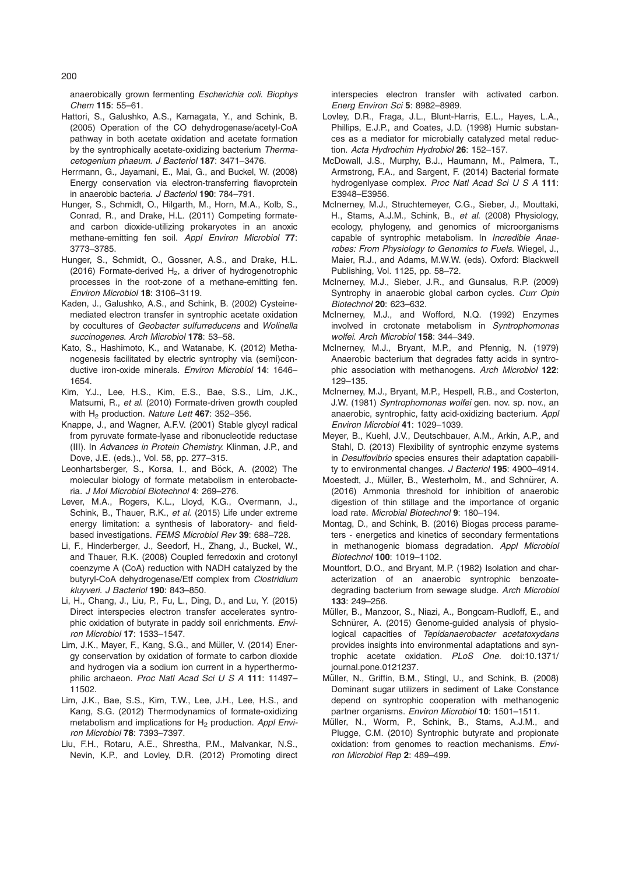anaerobically grown fermenting Escherichia coli. Biophys Chem 115: 55–61.

- Hattori, S., Galushko, A.S., Kamagata, Y., and Schink, B. (2005) Operation of the CO dehydrogenase/acetyl-CoA pathway in both acetate oxidation and acetate formation by the syntrophically acetate-oxidizing bacterium Thermacetogenium phaeum. J Bacteriol 187: 3471–3476.
- Herrmann, G., Jayamani, E., Mai, G., and Buckel, W. (2008) Energy conservation via electron-transferring flavoprotein in anaerobic bacteria. J Bacteriol 190: 784–791.
- Hunger, S., Schmidt, O., Hilgarth, M., Horn, M.A., Kolb, S., Conrad, R., and Drake, H.L. (2011) Competing formateand carbon dioxide-utilizing prokaryotes in an anoxic methane-emitting fen soil. Appl Environ Microbiol 77: 3773–3785.
- Hunger, S., Schmidt, O., Gossner, A.S., and Drake, H.L. (2016) Formate-derived  $H_2$ , a driver of hydrogenotrophic processes in the root-zone of a methane-emitting fen. Environ Microbiol 18: 3106–3119.
- Kaden, J., Galushko, A.S., and Schink, B. (2002) Cysteinemediated electron transfer in syntrophic acetate oxidation by cocultures of Geobacter sulfurreducens and Wolinella succinogenes. Arch Microbiol 178: 53–58.
- Kato, S., Hashimoto, K., and Watanabe, K. (2012) Methanogenesis facilitated by electric syntrophy via (semi)conductive iron-oxide minerals. Environ Microbiol 14: 1646– 1654.
- Kim, Y.J., Lee, H.S., Kim, E.S., Bae, S.S., Lim, J.K., Matsumi, R., et al. (2010) Formate-driven growth coupled with H<sub>2</sub> production. Nature Lett 467: 352-356.
- Knappe, J., and Wagner, A.F.V. (2001) Stable glycyl radical from pyruvate formate-lyase and ribonucleotide reductase (III). In Advances in Protein Chemistry. Klinman, J.P., and Dove, J.E. (eds.)., Vol. 58, pp. 277–315.
- Leonhartsberger, S., Korsa, I., and Böck, A. (2002) The molecular biology of formate metabolism in enterobacteria. J Mol Microbiol Biotechnol 4: 269–276.
- Lever, M.A., Rogers, K.L., Lloyd, K.G., Overmann, J., Schink, B., Thauer, R.K., et al. (2015) Life under extreme energy limitation: a synthesis of laboratory- and fieldbased investigations. FEMS Microbiol Rev 39: 688–728.
- Li, F., Hinderberger, J., Seedorf, H., Zhang, J., Buckel, W., and Thauer, R.K. (2008) Coupled ferredoxin and crotonyl coenzyme A (CoA) reduction with NADH catalyzed by the butyryl-CoA dehydrogenase/Etf complex from Clostridium kluyveri. J Bacteriol 190: 843–850.
- Li, H., Chang, J., Liu, P., Fu, L., Ding, D., and Lu, Y. (2015) Direct interspecies electron transfer accelerates syntrophic oxidation of butyrate in paddy soil enrichments. Environ Microbiol 17: 1533–1547.
- Lim, J.K., Mayer, F., Kang, S.G., and Müller, V. (2014) Energy conservation by oxidation of formate to carbon dioxide and hydrogen via a sodium ion current in a hyperthermophilic archaeon. Proc Natl Acad Sci U S A 111: 11497-11502.
- Lim, J.K., Bae, S.S., Kim, T.W., Lee, J.H., Lee, H.S., and Kang, S.G. (2012) Thermodynamics of formate-oxidizing metabolism and implications for  $H<sub>2</sub>$  production. Appl Environ Microbiol 78: 7393–7397.
- Liu, F.H., Rotaru, A.E., Shrestha, P.M., Malvankar, N.S., Nevin, K.P., and Lovley, D.R. (2012) Promoting direct

interspecies electron transfer with activated carbon. Energ Environ Sci 5: 8982–8989.

- Lovley, D.R., Fraga, J.L., Blunt-Harris, E.L., Hayes, L.A., Phillips, E.J.P., and Coates, J.D. (1998) Humic substances as a mediator for microbially catalyzed metal reduction. Acta Hydrochim Hydrobiol 26: 152–157.
- McDowall, J.S., Murphy, B.J., Haumann, M., Palmera, T., Armstrong, F.A., and Sargent, F. (2014) Bacterial formate hydrogenlyase complex. Proc Natl Acad Sci U S A 111: E3948–E3956.
- McInerney, M.J., Struchtemeyer, C.G., Sieber, J., Mouttaki, H., Stams, A.J.M., Schink, B., et al. (2008) Physiology, ecology, phylogeny, and genomics of microorganisms capable of syntrophic metabolism. In Incredible Anaerobes: From Physiology to Genomics to Fuels. Wiegel, J., Maier, R.J., and Adams, M.W.W. (eds). Oxford: Blackwell Publishing, Vol. 1125, pp. 58–72.
- McInerney, M.J., Sieber, J.R., and Gunsalus, R.P. (2009) Syntrophy in anaerobic global carbon cycles. Curr Opin Biotechnol 20: 623–632.
- McInerney, M.J., and Wofford, N.Q. (1992) Enzymes involved in crotonate metabolism in Syntrophomonas wolfei. Arch Microbiol 158: 344–349.
- McInerney, M.J., Bryant, M.P., and Pfennig, N. (1979) Anaerobic bacterium that degrades fatty acids in syntrophic association with methanogens. Arch Microbiol 122: 129–135.
- McInerney, M.J., Bryant, M.P., Hespell, R.B., and Costerton, J.W. (1981) Syntrophomonas wolfei gen. nov. sp. nov., an anaerobic, syntrophic, fatty acid-oxidizing bacterium. Appl Environ Microbiol 41: 1029–1039.
- Meyer, B., Kuehl, J.V., Deutschbauer, A.M., Arkin, A.P., and Stahl, D. (2013) Flexibility of syntrophic enzyme systems in Desulfovibrio species ensures their adaptation capability to environmental changes. J Bacteriol 195: 4900-4914.
- Moestedt, J., Müller, B., Westerholm, M., and Schnürer, A. (2016) Ammonia threshold for inhibition of anaerobic digestion of thin stillage and the importance of organic load rate. Microbial Biotechnol 9: 180–194.
- Montag, D., and Schink, B. (2016) Biogas process parameters - energetics and kinetics of secondary fermentations in methanogenic biomass degradation. Appl Microbiol Biotechnol 100: 1019–1102.
- Mountfort, D.O., and Bryant, M.P. (1982) Isolation and characterization of an anaerobic syntrophic benzoatedegrading bacterium from sewage sludge. Arch Microbiol 133: 249–256.
- Müller, B., Manzoor, S., Niazi, A., Bongcam-Rudloff, E., and Schnürer, A. (2015) Genome-guided analysis of physiological capacities of Tepidanaerobacter acetatoxydans provides insights into environmental adaptations and syntrophic acetate oxidation. PLoS One. doi:10.1371/ journal.pone.0121237.
- Müller, N., Griffin, B.M., Stingl, U., and Schink, B. (2008) Dominant sugar utilizers in sediment of Lake Constance depend on syntrophic cooperation with methanogenic partner organisms. Environ Microbiol 10: 1501–1511.
- Müller, N., Worm, P., Schink, B., Stams, A.J.M., and Plugge, C.M. (2010) Syntrophic butyrate and propionate oxidation: from genomes to reaction mechanisms. Environ Microbiol Rep 2: 489–499.

200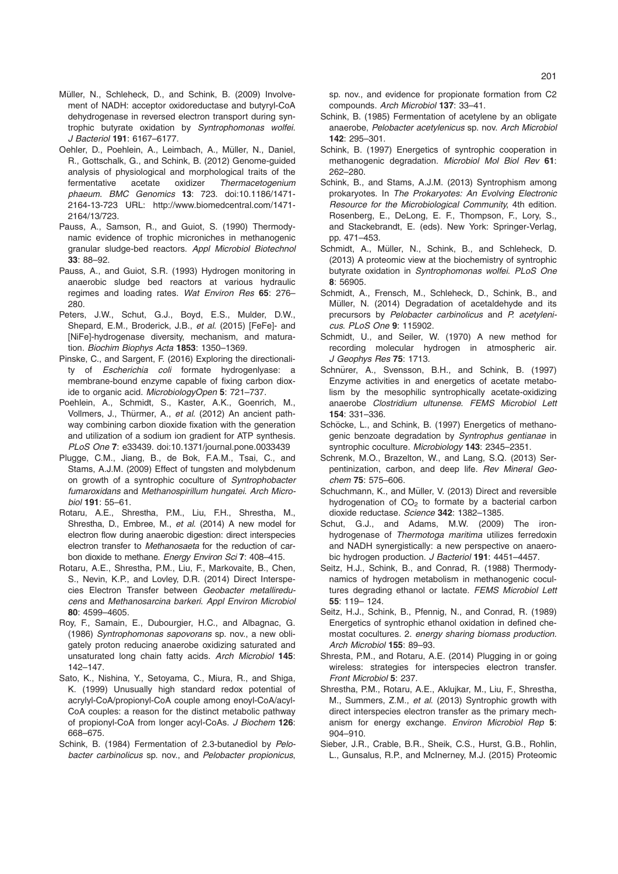- Müller, N., Schleheck, D., and Schink, B. (2009) Involvement of NADH: acceptor oxidoreductase and butyryl-CoA dehydrogenase in reversed electron transport during syntrophic butyrate oxidation by Syntrophomonas wolfei. J Bacteriol 191: 6167–6177.
- Oehler, D., Poehlein, A., Leimbach, A., Müller, N., Daniel, R., Gottschalk, G., and Schink, B. (2012) Genome-guided analysis of physiological and morphological traits of the fermentative acetate oxidizer Thermacetogenium phaeum. BMC Genomics 13: 723. doi:10.1186/1471- 2164-13-723 URL: http://www.biomedcentral.com/1471- 2164/13/723.
- Pauss, A., Samson, R., and Guiot, S. (1990) Thermodynamic evidence of trophic microniches in methanogenic granular sludge-bed reactors. Appl Microbiol Biotechnol 33: 88–92.
- Pauss, A., and Guiot, S.R. (1993) Hydrogen monitoring in anaerobic sludge bed reactors at various hydraulic regimes and loading rates. Wat Environ Res 65: 276– 280.
- Peters, J.W., Schut, G.J., Boyd, E.S., Mulder, D.W., Shepard, E.M., Broderick, J.B., et al. (2015) [FeFe]- and [NiFe]-hydrogenase diversity, mechanism, and maturation. Biochim Biophys Acta 1853: 1350–1369.
- Pinske, C., and Sargent, F. (2016) Exploring the directionality of Escherichia coli formate hydrogenlyase: a membrane-bound enzyme capable of fixing carbon dioxide to organic acid. MicrobiologyOpen 5: 721–737.
- Poehlein, A., Schmidt, S., Kaster, A.K., Goenrich, M., Vollmers, J., Thürmer, A., et al. (2012) An ancient pathway combining carbon dioxide fixation with the generation and utilization of a sodium ion gradient for ATP synthesis. PLoS One 7: e33439. doi:10.1371/journal.pone.0033439
- Plugge, C.M., Jiang, B., de Bok, F.A.M., Tsai, C., and Stams, A.J.M. (2009) Effect of tungsten and molybdenum on growth of a syntrophic coculture of Syntrophobacter fumaroxidans and Methanospirillum hungatei. Arch Microbiol 191: 55–61.
- Rotaru, A.E., Shrestha, P.M., Liu, F.H., Shrestha, M., Shrestha, D., Embree, M., et al. (2014) A new model for electron flow during anaerobic digestion: direct interspecies electron transfer to Methanosaeta for the reduction of carbon dioxide to methane. Energy Environ Sci 7: 408-415.
- Rotaru, A.E., Shrestha, P.M., Liu, F., Markovaite, B., Chen, S., Nevin, K.P., and Lovley, D.R. (2014) Direct Interspecies Electron Transfer between Geobacter metallireducens and Methanosarcina barkeri. Appl Environ Microbiol 80: 4599–4605.
- Roy, F., Samain, E., Dubourgier, H.C., and Albagnac, G. (1986) Syntrophomonas sapovorans sp. nov., a new obligately proton reducing anaerobe oxidizing saturated and unsaturated long chain fatty acids. Arch Microbiol 145: 142–147.
- Sato, K., Nishina, Y., Setoyama, C., Miura, R., and Shiga, K. (1999) Unusually high standard redox potential of acrylyl-CoA/propionyl-CoA couple among enoyl-CoA/acyl-CoA couples: a reason for the distinct metabolic pathway of propionyl-CoA from longer acyl-CoAs. J Biochem 126: 668–675.
- Schink, B. (1984) Fermentation of 2.3-butanediol by Pelobacter carbinolicus sp. nov., and Pelobacter propionicus,

sp. nov., and evidence for propionate formation from C2 compounds. Arch Microbiol 137: 33–41.

- Schink, B. (1985) Fermentation of acetylene by an obligate anaerobe, Pelobacter acetylenicus sp. nov. Arch Microbiol 142: 295–301.
- Schink, B. (1997) Energetics of syntrophic cooperation in methanogenic degradation. Microbiol Mol Biol Rev 61: 262–280.
- Schink, B., and Stams, A.J.M. (2013) Syntrophism among prokaryotes. In The Prokaryotes: An Evolving Electronic Resource for the Microbiological Community, 4th edition. Rosenberg, E., DeLong, E. F., Thompson, F., Lory, S., and Stackebrandt, E. (eds). New York: Springer-Verlag, pp. 471–453.
- Schmidt, A., Müller, N., Schink, B., and Schleheck, D. (2013) A proteomic view at the biochemistry of syntrophic butyrate oxidation in Syntrophomonas wolfei. PLoS One 8: 56905.
- Schmidt, A., Frensch, M., Schleheck, D., Schink, B., and Müller, N. (2014) Degradation of acetaldehyde and its precursors by Pelobacter carbinolicus and P. acetylenicus. PLoS One 9: 115902.
- Schmidt, U., and Seiler, W. (1970) A new method for recording molecular hydrogen in atmospheric air. J Geophys Res 75: 1713.
- Schnürer, A., Svensson, B.H., and Schink, B. (1997) Enzyme activities in and energetics of acetate metabolism by the mesophilic syntrophically acetate-oxidizing anaerobe Clostridium ultunense. FEMS Microbiol Lett 154: 331–336.
- Schöcke, L., and Schink, B. (1997) Energetics of methanogenic benzoate degradation by Syntrophus gentianae in syntrophic coculture. Microbiology 143: 2345-2351.
- Schrenk, M.O., Brazelton, W., and Lang, S.Q. (2013) Serpentinization, carbon, and deep life. Rev Mineral Geochem 75: 575–606.
- Schuchmann, K., and Müller, V. (2013) Direct and reversible hydrogenation of  $CO<sub>2</sub>$  to formate by a bacterial carbon dioxide reductase. Science 342: 1382-1385.
- Schut, G.J., and Adams, M.W. (2009) The ironhydrogenase of Thermotoga maritima utilizes ferredoxin and NADH synergistically: a new perspective on anaerobic hydrogen production. J Bacteriol 191: 4451-4457.
- Seitz, H.J., Schink, B., and Conrad, R. (1988) Thermodynamics of hydrogen metabolism in methanogenic cocultures degrading ethanol or lactate. FEMS Microbiol Lett 55: 119– 124.
- Seitz, H.J., Schink, B., Pfennig, N., and Conrad, R. (1989) Energetics of syntrophic ethanol oxidation in defined chemostat cocultures. 2. energy sharing biomass production. Arch Microbiol 155: 89–93.
- Shresta, P.M., and Rotaru, A.E. (2014) Plugging in or going wireless: strategies for interspecies electron transfer. Front Microbiol 5: 237.
- Shrestha, P.M., Rotaru, A.E., Aklujkar, M., Liu, F., Shrestha, M., Summers, Z.M., et al. (2013) Syntrophic growth with direct interspecies electron transfer as the primary mechanism for energy exchange. Environ Microbiol Rep 5: 904–910.
- Sieber, J.R., Crable, B.R., Sheik, C.S., Hurst, G.B., Rohlin, L., Gunsalus, R.P., and McInerney, M.J. (2015) Proteomic